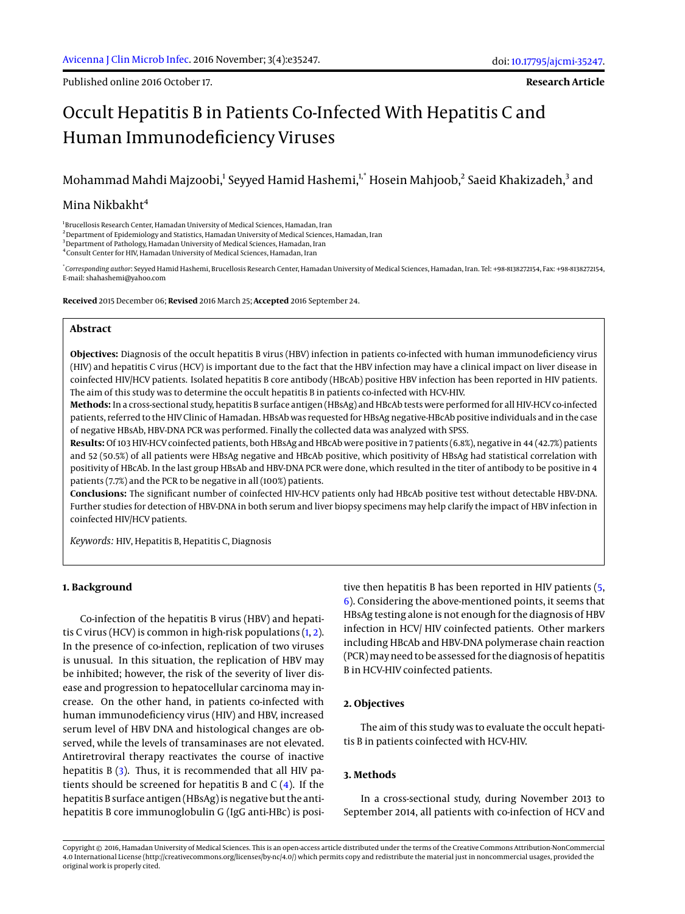**Research Article**

# Occult Hepatitis B in Patients Co-Infected With Hepatitis C and Human Immunodeficiency Viruses

Mohammad Mahdi Majzoobi,<sup>1</sup> Seyyed Hamid Hashemi,<sup>1,\*</sup> Hosein Mahjoob,<sup>2</sup> Saeid Khakizadeh,<sup>3</sup> and

# Mina Nikhakht<sup>4</sup>

1 Brucellosis Research Center, Hamadan University of Medical Sciences, Hamadan, Iran

<sup>2</sup> Department of Epidemiology and Statistics, Hamadan University of Medical Sciences, Hamadan, Iran

<sup>3</sup> Department of Pathology, Hamadan University of Medical Sciences, Hamadan, Iran

4 Consult Center for HIV, Hamadan University of Medical Sciences, Hamadan, Iran

\* *Corresponding author*: Seyyed Hamid Hashemi, Brucellosis Research Center, Hamadan University of Medical Sciences, Hamadan, Iran. Tel: +98-8138272154, Fax: +98-8138272154, E-mail: shahashemi@yahoo.com

**Received** 2015 December 06; **Revised** 2016 March 25; **Accepted** 2016 September 24.

# **Abstract**

**Objectives:** Diagnosis of the occult hepatitis B virus (HBV) infection in patients co-infected with human immunodeficiency virus (HIV) and hepatitis C virus (HCV) is important due to the fact that the HBV infection may have a clinical impact on liver disease in coinfected HIV/HCV patients. Isolated hepatitis B core antibody (HBcAb) positive HBV infection has been reported in HIV patients. The aim of this study was to determine the occult hepatitis B in patients co-infected with HCV-HIV.

**Methods:** In a cross-sectional study, hepatitis B surface antigen (HBsAg) and HBcAb tests were performed for all HIV-HCV co-infected patients, referred to the HIV Clinic of Hamadan. HBsAb was requested for HBsAg negative-HBcAb positive individuals and in the case of negative HBsAb, HBV-DNA PCR was performed. Finally the collected data was analyzed with SPSS.

**Results:** Of 103 HIV-HCV coinfected patients, both HBsAg and HBcAb were positive in 7 patients (6.8%), negative in 44 (42.7%) patients and 52 (50.5%) of all patients were HBsAg negative and HBcAb positive, which positivity of HBsAg had statistical correlation with positivity of HBcAb. In the last group HBsAb and HBV-DNA PCR were done, which resulted in the titer of antibody to be positive in 4 patients (7.7%) and the PCR to be negative in all (100%) patients.

**Conclusions:** The significant number of coinfected HIV-HCV patients only had HBcAb positive test without detectable HBV-DNA. Further studies for detection of HBV-DNA in both serum and liver biopsy specimens may help clarify the impact of HBV infection in coinfected HIV/HCV patients.

*Keywords:* HIV, Hepatitis B, Hepatitis C, Diagnosis

## **1. Background**

Co-infection of the hepatitis B virus (HBV) and hepatitis C virus (HCV) is common in high-risk populations [\(1,](#page-2-0) [2\)](#page-2-1). In the presence of co-infection, replication of two viruses is unusual. In this situation, the replication of HBV may be inhibited; however, the risk of the severity of liver disease and progression to hepatocellular carcinoma may increase. On the other hand, in patients co-infected with human immunodeficiency virus (HIV) and HBV, increased serum level of HBV DNA and histological changes are observed, while the levels of transaminases are not elevated. Antiretroviral therapy reactivates the course of inactive hepatitis B [\(3\)](#page-2-2). Thus, it is recommended that all HIV patients should be screened for hepatitis B and  $C(4)$  $C(4)$ . If the hepatitis B surface antigen (HBsAg) is negative but the antihepatitis B core immunoglobulin G (IgG anti-HBc) is positive then hepatitis B has been reported in HIV patients [\(5,](#page-2-4) [6\)](#page-2-5). Considering the above-mentioned points, it seems that HBsAg testing alone is not enough for the diagnosis of HBV infection in HCV/ HIV coinfected patients. Other markers including HBcAb and HBV-DNA polymerase chain reaction (PCR)may need to be assessed for the diagnosis of hepatitis B in HCV-HIV coinfected patients.

# **2. Objectives**

The aim of this study was to evaluate the occult hepatitis B in patients coinfected with HCV-HIV.

# **3. Methods**

In a cross-sectional study, during November 2013 to September 2014, all patients with co-infection of HCV and

Copyright © 2016, Hamadan University of Medical Sciences. This is an open-access article distributed under the terms of the Creative Commons Attribution-NonCommercial 4.0 International License (http://creativecommons.org/licenses/by-nc/4.0/) which permits copy and redistribute the material just in noncommercial usages, provided the original work is properly cited.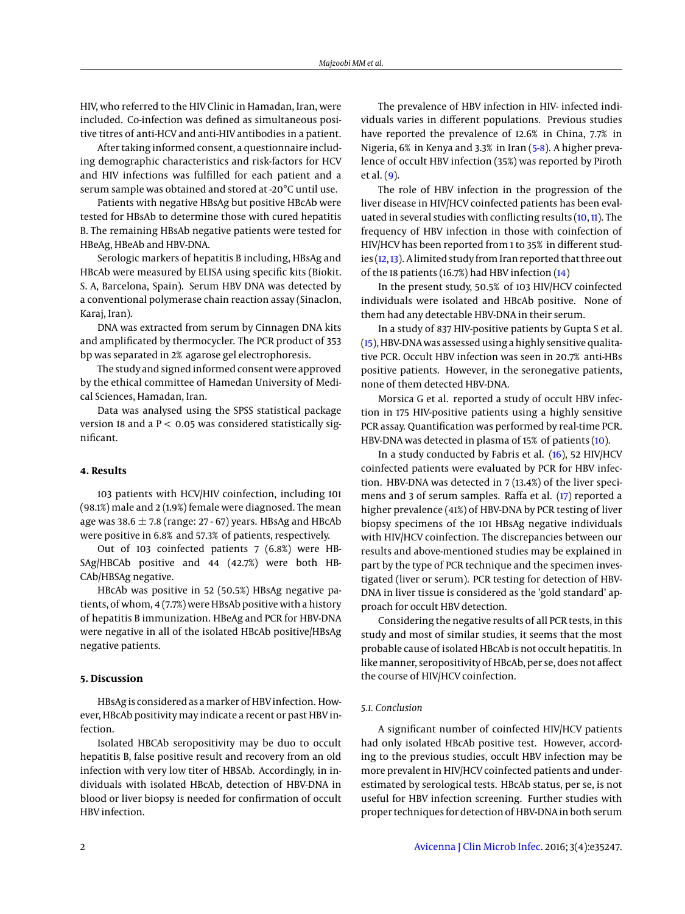HIV, who referred to the HIV Clinic in Hamadan, Iran, were included. Co-infection was defined as simultaneous positive titres of anti-HCV and anti-HIV antibodies in a patient.

After taking informed consent, a questionnaire including demographic characteristics and risk-factors for HCV and HIV infections was fulfilled for each patient and a serum sample was obtained and stored at -20°C until use.

Patients with negative HBsAg but positive HBcAb were tested for HBsAb to determine those with cured hepatitis B. The remaining HBsAb negative patients were tested for HBeAg, HBeAb and HBV-DNA.

Serologic markers of hepatitis B including, HBsAg and HBcAb were measured by ELISA using specific kits (Biokit. S. A, Barcelona, Spain). Serum HBV DNA was detected by a conventional polymerase chain reaction assay (Sinaclon, Karaj, Iran).

DNA was extracted from serum by Cinnagen DNA kits and amplificated by thermocycler. The PCR product of 353 bp was separated in 2% agarose gel electrophoresis.

The study and signed informed consent were approved by the ethical committee of Hamedan University of Medical Sciences, Hamadan, Iran.

Data was analysed using the SPSS statistical package version 18 and a  $P < 0.05$  was considered statistically significant.

#### **4. Results**

103 patients with HCV/HIV coinfection, including 101 (98.1%) male and 2 (1.9%) female were diagnosed. The mean age was 38.6  $\pm$  7.8 (range: 27 - 67) years. HBsAg and HBcAb were positive in 6.8% and 57.3% of patients, respectively.

Out of 103 coinfected patients 7 (6.8%) were HB-SAg/HBCAb positive and 44 (42.7%) were both HB-CAb/HBSAg negative.

HBcAb was positive in 52 (50.5%) HBsAg negative patients, of whom, 4 (7.7%) were HBsAb positive with a history of hepatitis B immunization. HBeAg and PCR for HBV-DNA were negative in all of the isolated HBcAb positive/HBsAg negative patients.

# **5. Discussion**

HBsAg is considered as amarker of HBV infection. However, HBcAb positivity may indicate a recent or past HBV infection.

Isolated HBCAb seropositivity may be duo to occult hepatitis B, false positive result and recovery from an old infection with very low titer of HBSAb. Accordingly, in individuals with isolated HBcAb, detection of HBV-DNA in blood or liver biopsy is needed for confirmation of occult HBV infection.

The prevalence of HBV infection in HIV- infected individuals varies in different populations. Previous studies have reported the prevalence of 12.6% in China, 7.7% in Nigeria, 6% in Kenya and 3.3% in Iran [\(5](#page-2-4)[-8\)](#page-2-6). A higher prevalence of occult HBV infection (35%) was reported by Piroth et al. [\(9\)](#page-2-7).

The role of HBV infection in the progression of the liver disease in HIV/HCV coinfected patients has been evaluated in several studies with conflicting results [\(10,](#page-2-8) [11\)](#page-2-9). The frequency of HBV infection in those with coinfection of HIV/HCV has been reported from 1 to 35% in different studies [\(12,](#page-2-10)[13\)](#page-2-11). A limited study from Iran reported that three out of the 18 patients (16.7%) had HBV infection [\(14\)](#page-2-12)

In the present study, 50.5% of 103 HIV/HCV coinfected individuals were isolated and HBcAb positive. None of them had any detectable HBV-DNA in their serum.

In a study of 837 HIV-positive patients by Gupta S et al. [\(15\)](#page-2-13), HBV-DNA was assessed using a highly sensitive qualitative PCR. Occult HBV infection was seen in 20.7% anti-HBs positive patients. However, in the seronegative patients, none of them detected HBV-DNA.

Morsica G et al. reported a study of occult HBV infection in 175 HIV-positive patients using a highly sensitive PCR assay. Quantification was performed by real-time PCR. HBV-DNA was detected in plasma of 15% of patients [\(10\)](#page-2-8).

In a study conducted by Fabris et al. [\(16\)](#page-2-14), 52 HIV/HCV coinfected patients were evaluated by PCR for HBV infection. HBV-DNA was detected in 7 (13.4%) of the liver specimens and 3 of serum samples. Raffa et al. [\(17\)](#page-2-15) reported a higher prevalence (41%) of HBV-DNA by PCR testing of liver biopsy specimens of the 101 HBsAg negative individuals with HIV/HCV coinfection. The discrepancies between our results and above-mentioned studies may be explained in part by the type of PCR technique and the specimen investigated (liver or serum). PCR testing for detection of HBV-DNA in liver tissue is considered as the 'gold standard' approach for occult HBV detection.

Considering the negative results of all PCR tests, in this study and most of similar studies, it seems that the most probable cause of isolated HBcAb is not occult hepatitis. In like manner, seropositivity of HBcAb, per se, does not affect the course of HIV/HCV coinfection.

### *5.1. Conclusion*

A significant number of coinfected HIV/HCV patients had only isolated HBcAb positive test. However, according to the previous studies, occult HBV infection may be more prevalent in HIV/HCV coinfected patients and underestimated by serological tests. HBcAb status, per se, is not useful for HBV infection screening. Further studies with proper techniques for detection of HBV-DNA in both serum